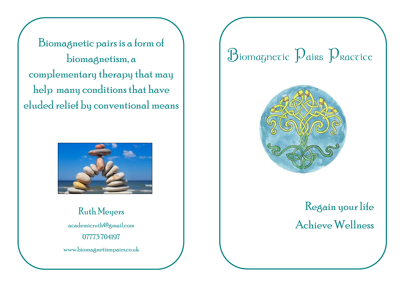Biomagnetic pairs is a form of biomagnetism, a complementary therapy that may help many conditions that have eluded relief by conventional means



Ruth Meyers academicruth@gmail.com 07773 704197 www.biomagnetismpairs.co.uk

## $B$ iomagnetic  $D$ airs  $D$ ractice



## Regain your life Achieve Wellness